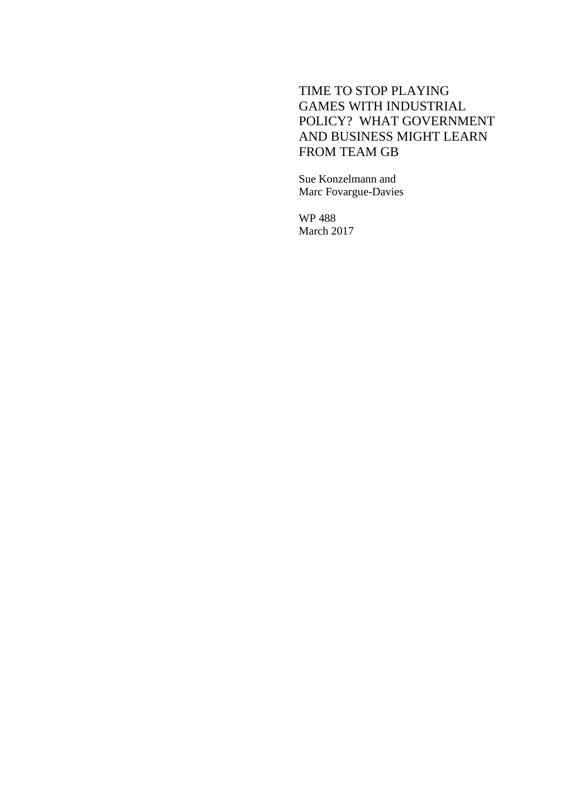## TIME TO STOP PLAYING GAMES WITH INDUSTRIAL POLICY? WHAT GOVERNMENT AND BUSINESS MIGHT LEARN FROM TEAM GB

Sue Konzelmann and Marc Fovargue-Davies

WP 488 March 2017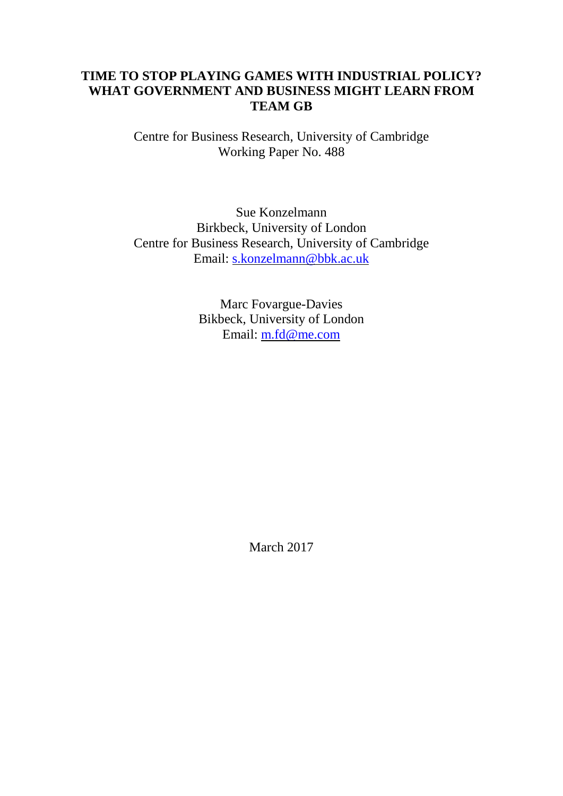## **TIME TO STOP PLAYING GAMES WITH INDUSTRIAL POLICY? WHAT GOVERNMENT AND BUSINESS MIGHT LEARN FROM TEAM GB**

Centre for Business Research, University of Cambridge Working Paper No. 488

Sue Konzelmann Birkbeck, University of London Centre for Business Research, University of Cambridge Email: [s.konzelmann@bbk.ac.uk](mailto:s.konzelmann@bbk.ac.uk)

> Marc Fovargue-Davies Bikbeck, University of London Email: [m.fd@me.com](mailto:m.fd@me.com)

> > March 2017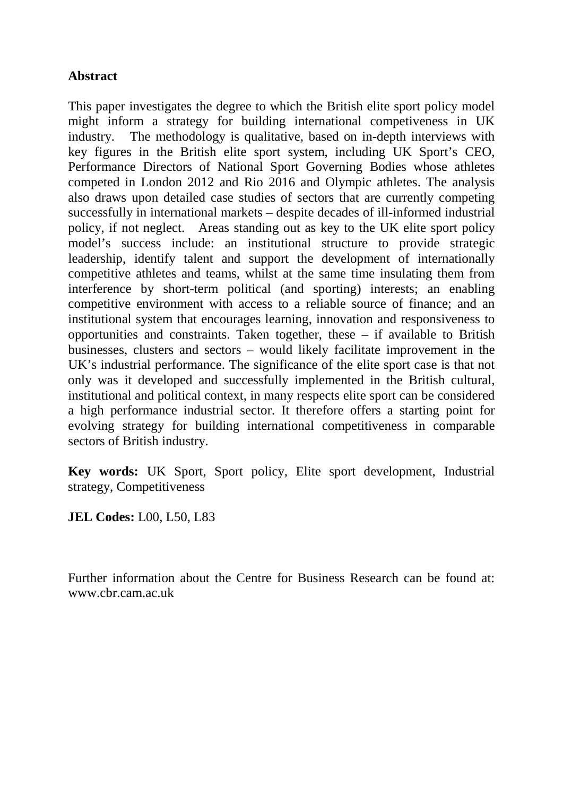## **Abstract**

This paper investigates the degree to which the British elite sport policy model might inform a strategy for building international competiveness in UK industry. The methodology is qualitative, based on in-depth interviews with key figures in the British elite sport system, including UK Sport's CEO, Performance Directors of National Sport Governing Bodies whose athletes competed in London 2012 and Rio 2016 and Olympic athletes. The analysis also draws upon detailed case studies of sectors that are currently competing successfully in international markets – despite decades of ill-informed industrial policy, if not neglect. Areas standing out as key to the UK elite sport policy model's success include: an institutional structure to provide strategic leadership, identify talent and support the development of internationally competitive athletes and teams, whilst at the same time insulating them from interference by short-term political (and sporting) interests; an enabling competitive environment with access to a reliable source of finance; and an institutional system that encourages learning, innovation and responsiveness to opportunities and constraints. Taken together, these – if available to British businesses, clusters and sectors – would likely facilitate improvement in the UK's industrial performance. The significance of the elite sport case is that not only was it developed and successfully implemented in the British cultural, institutional and political context, in many respects elite sport can be considered a high performance industrial sector. It therefore offers a starting point for evolving strategy for building international competitiveness in comparable sectors of British industry.

**Key words:** UK Sport, Sport policy, Elite sport development, Industrial strategy, Competitiveness

**JEL Codes:** L00, L50, L83

Further information about the Centre for Business Research can be found at: www.cbr.cam.ac.uk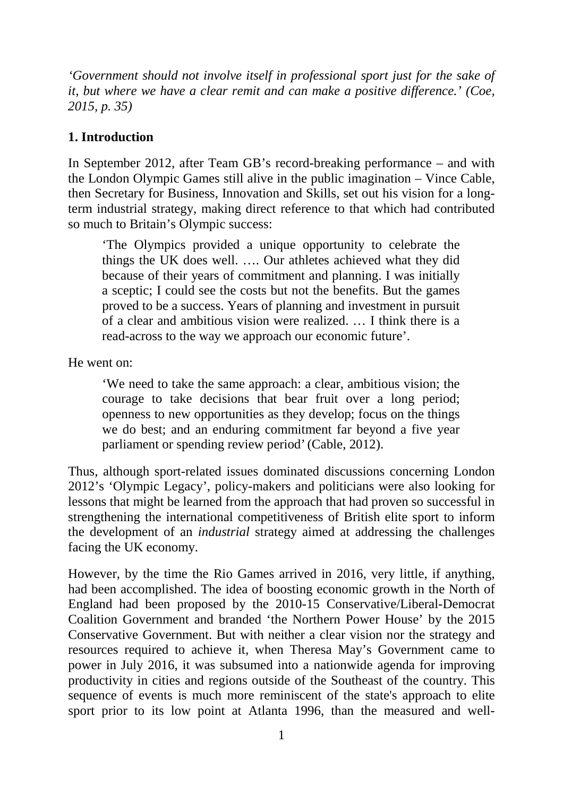*'Government should not involve itself in professional sport just for the sake of it, but where we have a clear remit and can make a positive difference.' (Coe, 2015, p. 35)*

## **1. Introduction**

In September 2012, after Team GB's record-breaking performance – and with the London Olympic Games still alive in the public imagination – Vince Cable, then Secretary for Business, Innovation and Skills, set out his vision for a longterm industrial strategy, making direct reference to that which had contributed so much to Britain's Olympic success:

'The Olympics provided a unique opportunity to celebrate the things the UK does well. …. Our athletes achieved what they did because of their years of commitment and planning. I was initially a sceptic; I could see the costs but not the benefits. But the games proved to be a success. Years of planning and investment in pursuit of a clear and ambitious vision were realized. … I think there is a read-across to the way we approach our economic future'.

He went on:

'We need to take the same approach: a clear, ambitious vision; the courage to take decisions that bear fruit over a long period; openness to new opportunities as they develop; focus on the things we do best; and an enduring commitment far beyond a five year parliament or spending review period'(Cable, 2012).

Thus, although sport-related issues dominated discussions concerning London 2012's 'Olympic Legacy', policy-makers and politicians were also looking for lessons that might be learned from the approach that had proven so successful in strengthening the international competitiveness of British elite sport to inform the development of an *industrial* strategy aimed at addressing the challenges facing the UK economy.

However, by the time the Rio Games arrived in 2016, very little, if anything, had been accomplished. The idea of boosting economic growth in the North of England had been proposed by the 2010-15 Conservative/Liberal-Democrat Coalition Government and branded 'the Northern Power House' by the 2015 Conservative Government. But with neither a clear vision nor the strategy and resources required to achieve it, when Theresa May's Government came to power in July 2016, it was subsumed into a nationwide agenda for improving productivity in cities and regions outside of the Southeast of the country. This sequence of events is much more reminiscent of the state's approach to elite sport prior to its low point at Atlanta 1996, than the measured and well-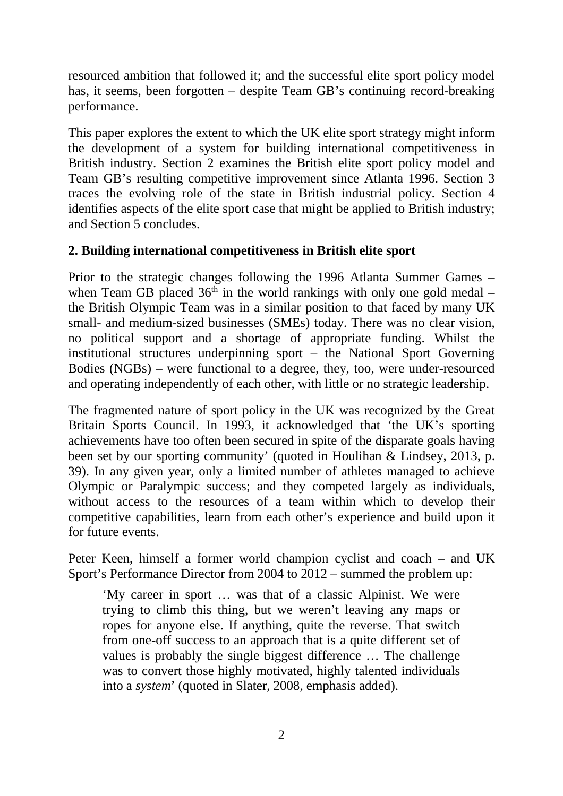resourced ambition that followed it; and the successful elite sport policy model has, it seems, been forgotten – despite Team GB's continuing record-breaking performance.

This paper explores the extent to which the UK elite sport strategy might inform the development of a system for building international competitiveness in British industry. Section 2 examines the British elite sport policy model and Team GB's resulting competitive improvement since Atlanta 1996. Section 3 traces the evolving role of the state in British industrial policy. Section 4 identifies aspects of the elite sport case that might be applied to British industry; and Section 5 concludes.

# **2. Building international competitiveness in British elite sport**

Prior to the strategic changes following the 1996 Atlanta Summer Games – when Team GB placed  $36<sup>th</sup>$  in the world rankings with only one gold medal – the British Olympic Team was in a similar position to that faced by many UK small- and medium-sized businesses (SMEs) today. There was no clear vision, no political support and a shortage of appropriate funding. Whilst the institutional structures underpinning sport – the National Sport Governing Bodies (NGBs) – were functional to a degree, they, too, were under-resourced and operating independently of each other, with little or no strategic leadership.

The fragmented nature of sport policy in the UK was recognized by the Great Britain Sports Council. In 1993, it acknowledged that 'the UK's sporting achievements have too often been secured in spite of the disparate goals having been set by our sporting community' (quoted in Houlihan & Lindsey, [2013,](#page-29-0) p. 39). In any given year, only a limited number of athletes managed to achieve Olympic or Paralympic success; and they competed largely as individuals, without access to the resources of a team within which to develop their competitive capabilities, learn from each other's experience and build upon it for future events.

Peter Keen, himself a former world champion cyclist and coach – and UK Sport's Performance Director from 2004 to 2012 – summed the problem up:

'My career in sport … was that of a classic Alpinist. We were trying to climb this thing, but we weren't leaving any maps or ropes for anyone else. If anything, quite the reverse. That switch from one-off success to an approach that is a quite different set of values is probably the single biggest difference … The challenge was to convert those highly motivated, highly talented individuals into a *system*' (quoted in Slater, 2008, emphasis added).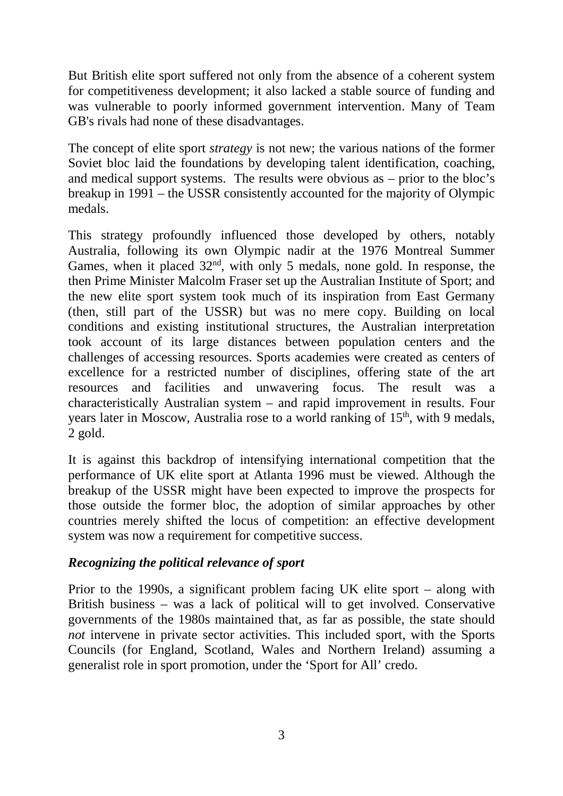But British elite sport suffered not only from the absence of a coherent system for competitiveness development; it also lacked a stable source of funding and was vulnerable to poorly informed government intervention. Many of Team GB's rivals had none of these disadvantages.

The concept of elite sport *strategy* is not new; the various nations of the former Soviet bloc laid the foundations by developing talent identification, coaching, and medical support systems. The results were obvious as – prior to the bloc's breakup in 1991 – the USSR consistently accounted for the majority of Olympic medals.

This strategy profoundly influenced those developed by others, notably Australia, following its own Olympic nadir at the 1976 Montreal Summer Games, when it placed  $32<sup>nd</sup>$ , with only 5 medals, none gold. In response, the then Prime Minister Malcolm Fraser set up the Australian Institute of Sport; and the new elite sport system took much of its inspiration from East Germany (then, still part of the USSR) but was no mere copy. Building on local conditions and existing institutional structures, the Australian interpretation took account of its large distances between population centers and the challenges of accessing resources. Sports academies were created as centers of excellence for a restricted number of disciplines, offering state of the art resources and facilities and unwavering focus. The result was a characteristically Australian system – and rapid improvement in results. Four years later in Moscow, Australia rose to a world ranking of  $15<sup>th</sup>$ , with 9 medals, 2 gold.

It is against this backdrop of intensifying international competition that the performance of UK elite sport at Atlanta 1996 must be viewed. Although the breakup of the USSR might have been expected to improve the prospects for those outside the former bloc, the adoption of similar approaches by other countries merely shifted the locus of competition: an effective development system was now a requirement for competitive success.

# *Recognizing the political relevance of sport*

Prior to the 1990s, a significant problem facing UK elite sport – along with British business – was a lack of political will to get involved. Conservative governments of the 1980s maintained that, as far as possible, the state should *not* intervene in private sector activities. This included sport, with the Sports Councils (for England, Scotland, Wales and Northern Ireland) assuming a generalist role in sport promotion, under the 'Sport for All' credo.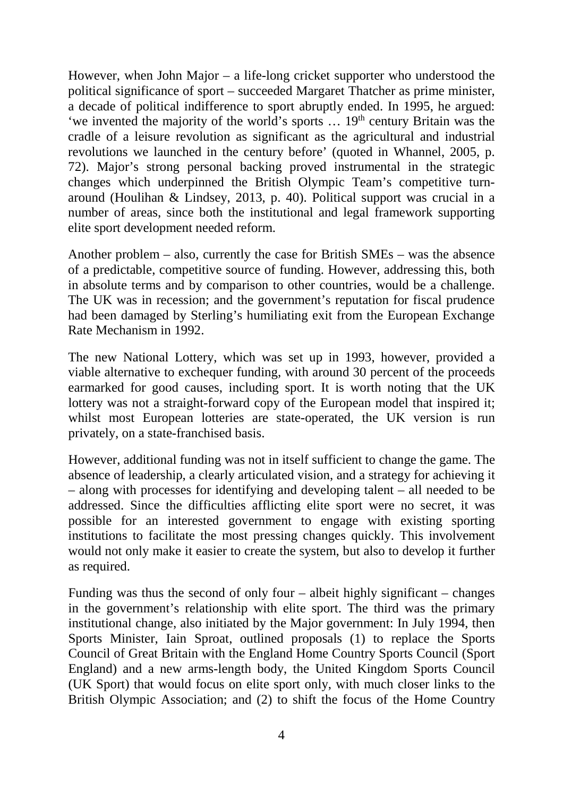However, when John Major – a life-long cricket supporter who understood the political significance of sport – succeeded Margaret Thatcher as prime minister, a decade of political indifference to sport abruptly ended. In 1995, he argued: 'we invented the majority of the world's sports  $\ldots$  19<sup>th</sup> century Britain was the cradle of a leisure revolution as significant as the agricultural and industrial revolutions we launched in the century before' (quoted in Whannel, 2005, p. 72). Major's strong personal backing proved instrumental in the strategic changes which underpinned the British Olympic Team's competitive turnaround (Houlihan & Lindsey, [2013,](#page-29-0) p. 40). Political support was crucial in a number of areas, since both the institutional and legal framework supporting elite sport development needed reform.

Another problem – also, currently the case for British SMEs – was the absence of a predictable, competitive source of funding. However, addressing this, both in absolute terms and by comparison to other countries, would be a challenge. The UK was in recession; and the government's reputation for fiscal prudence had been damaged by Sterling's humiliating exit from the European Exchange Rate Mechanism in 1992.

The new National Lottery, which was set up in 1993, however, provided a viable alternative to exchequer funding, with around 30 percent of the proceeds earmarked for good causes, including sport. It is worth noting that the UK lottery was not a straight-forward copy of the European model that inspired it; whilst most European lotteries are state-operated, the UK version is run privately, on a state-franchised basis.

However, additional funding was not in itself sufficient to change the game. The absence of leadership, a clearly articulated vision, and a strategy for achieving it – along with processes for identifying and developing talent – all needed to be addressed. Since the difficulties afflicting elite sport were no secret, it was possible for an interested government to engage with existing sporting institutions to facilitate the most pressing changes quickly. This involvement would not only make it easier to create the system, but also to develop it further as required.

Funding was thus the second of only four – albeit highly significant – changes in the government's relationship with elite sport. The third was the primary institutional change, also initiated by the Major government: In July 1994, then Sports Minister, Iain Sproat, outlined proposals (1) to replace the Sports Council of Great Britain with the England Home Country Sports Council (Sport England) and a new arms-length body, the United Kingdom Sports Council (UK Sport) that would focus on elite sport only, with much closer links to the British Olympic Association; and (2) to shift the focus of the Home Country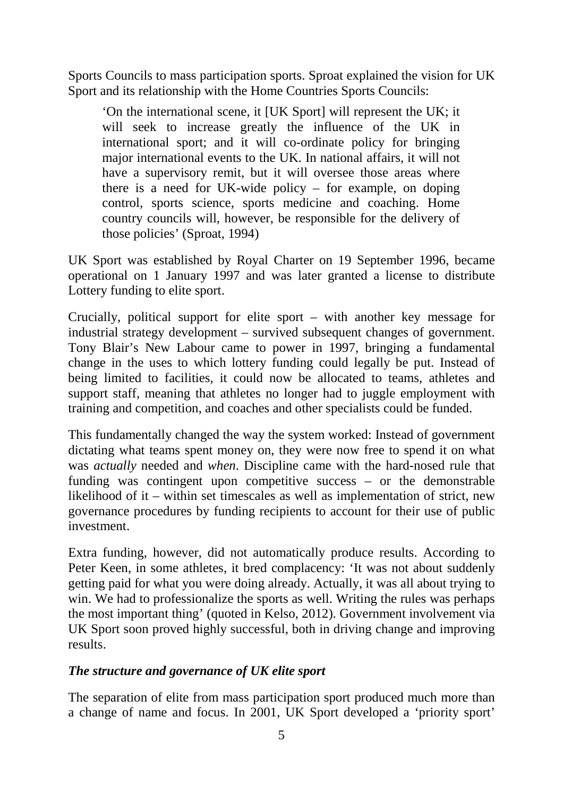Sports Councils to mass participation sports. Sproat explained the vision for UK Sport and its relationship with the Home Countries Sports Councils:

'On the international scene, it [UK Sport] will represent the UK; it will seek to increase greatly the influence of the UK in international sport; and it will co-ordinate policy for bringing major international events to the UK. In national affairs, it will not have a supervisory remit, but it will oversee those areas where there is a need for UK-wide policy – for example, on doping control, sports science, sports medicine and coaching. Home country councils will, however, be responsible for the delivery of those policies' (Sproat, 1994)

UK Sport was established by Royal Charter on 19 September 1996, became operational on 1 January 1997 and was later granted a license to distribute Lottery funding to elite sport.

Crucially, political support for elite sport – with another key message for industrial strategy development – survived subsequent changes of government. Tony Blair's New Labour came to power in 1997, bringing a fundamental change in the uses to which lottery funding could legally be put. Instead of being limited to facilities, it could now be allocated to teams, athletes and support staff, meaning that athletes no longer had to juggle employment with training and competition, and coaches and other specialists could be funded.

This fundamentally changed the way the system worked: Instead of government dictating what teams spent money on, they were now free to spend it on what was *actually* needed and *when*. Discipline came with the hard-nosed rule that funding was contingent upon competitive success – or the demonstrable likelihood of it – within set timescales as well as implementation of strict, new governance procedures by funding recipients to account for their use of public investment.

Extra funding, however, did not automatically produce results. According to Peter Keen, in some athletes, it bred complacency: 'It was not about suddenly getting paid for what you were doing already. Actually, it was all about trying to win. We had to professionalize the sports as well. Writing the rules was perhaps the most important thing' (quoted in Kelso, 2012). Government involvement via UK Sport soon proved highly successful, both in driving change and improving results.

### *The structure and governance of UK elite sport*

The separation of elite from mass participation sport produced much more than a change of name and focus. In 2001, UK Sport developed a 'priority sport'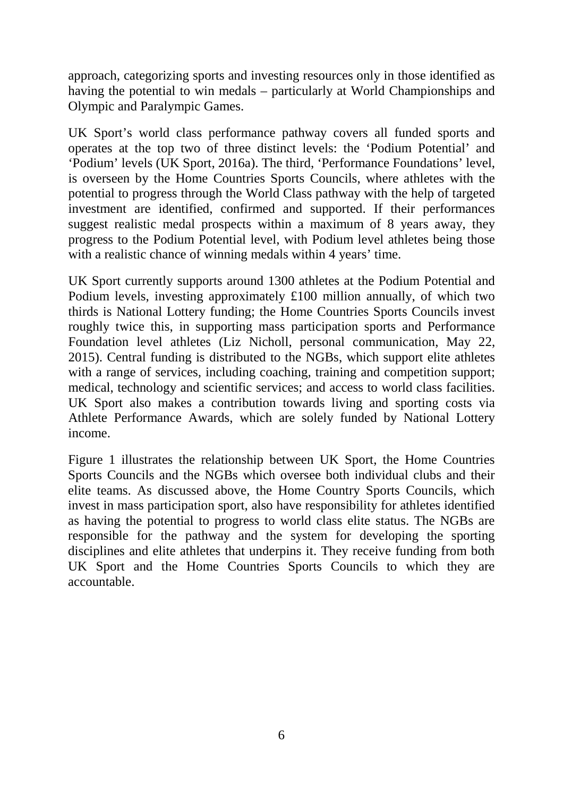approach, categorizing sports and investing resources only in those identified as having the potential to win medals – particularly at World Championships and Olympic and Paralympic Games.

UK Sport's world class performance pathway covers all funded sports and operates at the top two of three distinct levels: the 'Podium Potential' and 'Podium' levels (UK Sport, 2016a). The third, 'Performance Foundations' level, is overseen by the Home Countries Sports Councils, where athletes with the potential to progress through the World Class pathway with the help of targeted investment are identified, confirmed and supported. If their performances suggest realistic medal prospects within a maximum of 8 years away, they progress to the Podium Potential level, with Podium level athletes being those with a realistic chance of winning medals within 4 years' time.

UK Sport currently supports around 1300 athletes at the Podium Potential and Podium levels, investing approximately £100 million annually, of which two thirds is National Lottery funding; the Home Countries Sports Councils invest roughly twice this, in supporting mass participation sports and Performance Foundation level athletes (Liz Nicholl, personal communication, May 22, 2015). Central funding is distributed to the NGBs, which support elite athletes with a range of services, including coaching, training and competition support; medical, technology and scientific services; and access to world class facilities. UK Sport also makes a contribution towards living and sporting costs via Athlete Performance Awards, which are solely funded by National Lottery income.

Figure 1 illustrates the relationship between UK Sport, the Home Countries Sports Councils and the NGBs which oversee both individual clubs and their elite teams. As discussed above, the Home Country Sports Councils, which invest in mass participation sport, also have responsibility for athletes identified as having the potential to progress to world class elite status. The NGBs are responsible for the pathway and the system for developing the sporting disciplines and elite athletes that underpins it. They receive funding from both UK Sport and the Home Countries Sports Councils to which they are accountable.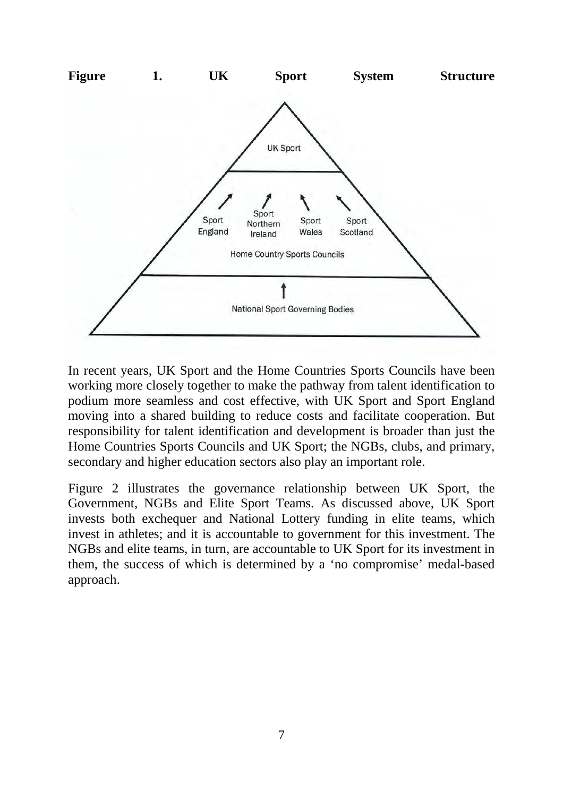

In recent years, UK Sport and the Home Countries Sports Councils have been working more closely together to make the pathway from talent identification to podium more seamless and cost effective, with UK Sport and Sport England moving into a shared building to reduce costs and facilitate cooperation. But responsibility for talent identification and development is broader than just the Home Countries Sports Councils and UK Sport; the NGBs, clubs, and primary, secondary and higher education sectors also play an important role.

Figure 2 illustrates the governance relationship between UK Sport, the Government, NGBs and Elite Sport Teams. As discussed above, UK Sport invests both exchequer and National Lottery funding in elite teams, which invest in athletes; and it is accountable to government for this investment. The NGBs and elite teams, in turn, are accountable to UK Sport for its investment in them, the success of which is determined by a 'no compromise' medal-based approach.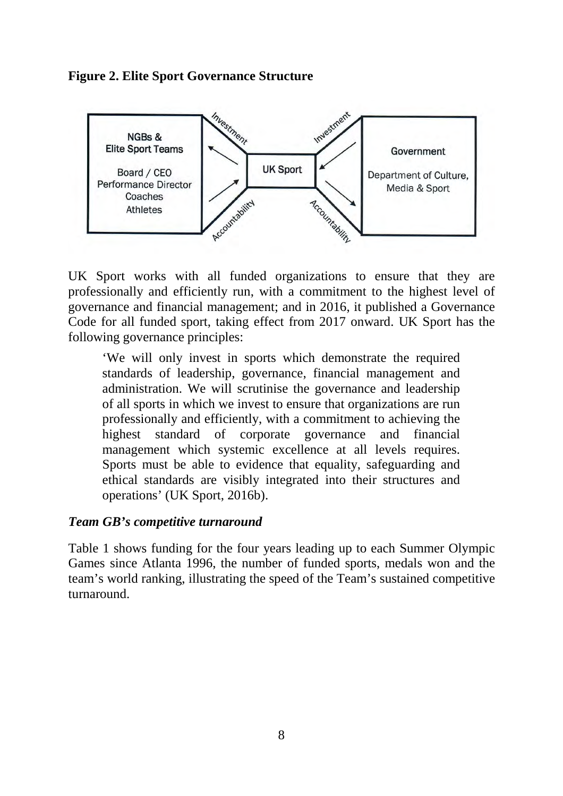



UK Sport works with all funded organizations to ensure that they are professionally and efficiently run, with a commitment to the highest level of governance and financial management; and in 2016, it published a Governance Code for all funded sport, taking effect from 2017 onward. UK Sport has the following governance principles:

'We will only invest in sports which demonstrate the required standards of leadership, governance, financial management and administration. We will scrutinise the governance and leadership of all sports in which we invest to ensure that organizations are run professionally and efficiently, with a commitment to achieving the highest standard of corporate governance and financial management which systemic excellence at all levels requires. Sports must be able to evidence that equality, safeguarding and ethical standards are visibly integrated into their structures and operations' (UK Sport, 2016b).

### *Team GB's competitive turnaround*

<span id="page-10-0"></span>Table [1](#page-10-0) shows funding for the four years leading up to each Summer Olympic Games since Atlanta 1996, the number of funded sports, medals won and the team's world ranking, illustrating the speed of the Team's sustained competitive turnaround.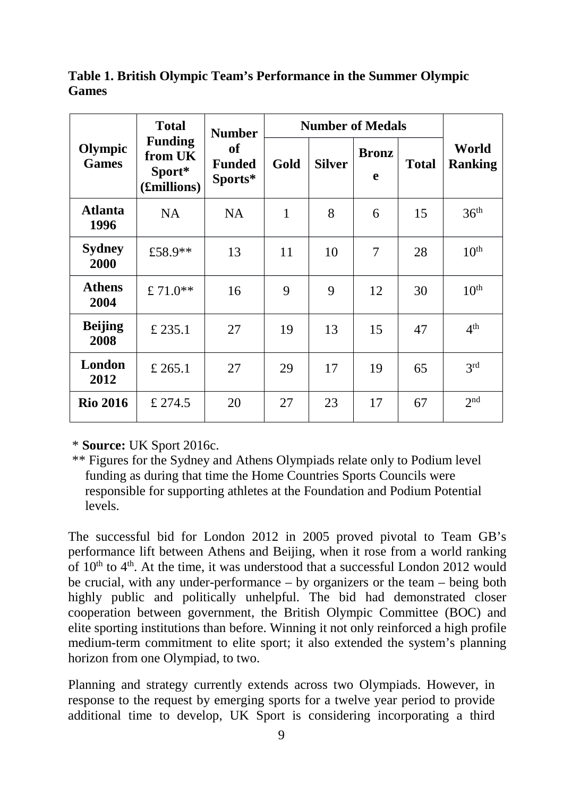**Table 1. British Olympic Team's Performance in the Summer Olympic Games**

| Olympic<br><b>Games</b> | <b>Total</b><br><b>Funding</b><br>from UK<br>Sport*<br>(£millions) | <b>Number</b><br>of<br><b>Funded</b><br>Sports* | <b>Number of Medals</b> |               |                   |              |                         |
|-------------------------|--------------------------------------------------------------------|-------------------------------------------------|-------------------------|---------------|-------------------|--------------|-------------------------|
|                         |                                                                    |                                                 | Gold                    | <b>Silver</b> | <b>Bronz</b><br>e | <b>Total</b> | World<br><b>Ranking</b> |
| <b>Atlanta</b><br>1996  | <b>NA</b>                                                          | <b>NA</b>                                       | 1                       | 8             | 6                 | 15           | 36 <sup>th</sup>        |
| <b>Sydney</b><br>2000   | £58.9**                                                            | 13                                              | 11                      | 10            | 7                 | 28           | 10 <sup>th</sup>        |
| <b>Athens</b><br>2004   | £71.0**                                                            | 16                                              | 9                       | 9             | 12                | 30           | 10 <sup>th</sup>        |
| <b>Beijing</b><br>2008  | £ 235.1                                                            | 27                                              | 19                      | 13            | 15                | 47           | 4 <sup>th</sup>         |
| London<br>2012          | £ 265.1                                                            | 27                                              | 29                      | 17            | 19                | 65           | 3 <sup>rd</sup>         |
| <b>Rio 2016</b>         | £ 274.5                                                            | 20                                              | 27                      | 23            | 17                | 67           | 2 <sub>nd</sub>         |

\* **Source:** UK Sport 2016c.

\*\* Figures for the Sydney and Athens Olympiads relate only to Podium level funding as during that time the Home Countries Sports Councils were responsible for supporting athletes at the Foundation and Podium Potential levels.

The successful bid for London 2012 in 2005 proved pivotal to Team GB's performance lift between Athens and Beijing, when it rose from a world ranking of  $10<sup>th</sup>$  to  $4<sup>th</sup>$ . At the time, it was understood that a successful London 2012 would be crucial, with any under-performance – by organizers or the team – being both highly public and politically unhelpful. The bid had demonstrated closer cooperation between government, the British Olympic Committee (BOC) and elite sporting institutions than before. Winning it not only reinforced a high profile medium-term commitment to elite sport; it also extended the system's planning horizon from one Olympiad, to two.

Planning and strategy currently extends across two Olympiads. However, in response to the request by emerging sports for a twelve year period to provide additional time to develop, UK Sport is considering incorporating a third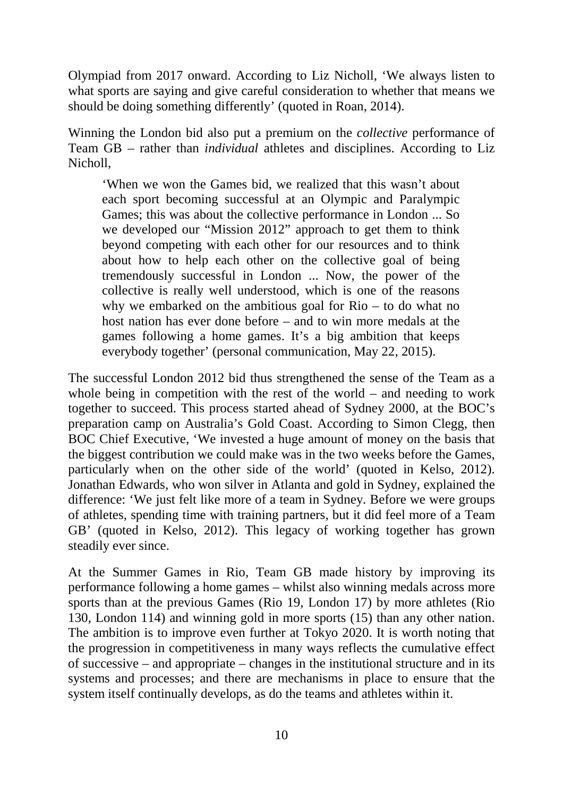Olympiad from 2017 onward. According to Liz Nicholl, 'We always listen to what sports are saying and give careful consideration to whether that means we should be doing something differently' (quoted in Roan, 2014).

Winning the London bid also put a premium on the *collective* performance of Team GB – rather than *individual* athletes and disciplines. According to Liz Nicholl,

'When we won the Games bid, we realized that this wasn't about each sport becoming successful at an Olympic and Paralympic Games; this was about the collective performance in London ... So we developed our "Mission 2012" approach to get them to think beyond competing with each other for our resources and to think about how to help each other on the collective goal of being tremendously successful in London ... Now, the power of the collective is really well understood, which is one of the reasons why we embarked on the ambitious goal for Rio – to do what no host nation has ever done before – and to win more medals at the games following a home games. It's a big ambition that keeps everybody together' (personal communication, May 22, 2015).

The successful London 2012 bid thus strengthened the sense of the Team as a whole being in competition with the rest of the world – and needing to work together to succeed. This process started ahead of Sydney 2000, at the BOC's preparation camp on Australia's Gold Coast. According to Simon Clegg, then BOC Chief Executive, 'We invested a huge amount of money on the basis that the biggest contribution we could make was in the two weeks before the Games, particularly when on the other side of the world' (quoted in Kelso, 2012). Jonathan Edwards, who won silver in Atlanta and gold in Sydney, explained the difference: 'We just felt like more of a team in Sydney. Before we were groups of athletes, spending time with training partners, but it did feel more of a Team GB' (quoted in Kelso, 2012). This legacy of working together has grown steadily ever since.

At the Summer Games in Rio, Team GB made history by improving its performance following a home games – whilst also winning medals across more sports than at the previous Games (Rio 19, London 17) by more athletes (Rio 130, London 114) and winning gold in more sports (15) than any other nation. The ambition is to improve even further at Tokyo 2020. It is worth noting that the progression in competitiveness in many ways reflects the cumulative effect of successive – and appropriate – changes in the institutional structure and in its systems and processes; and there are mechanisms in place to ensure that the system itself continually develops, as do the teams and athletes within it.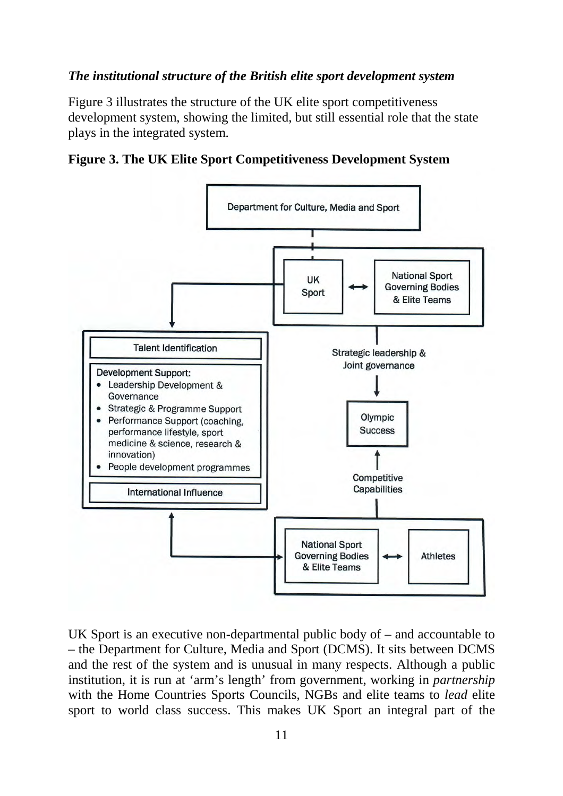### *The institutional structure of the British elite sport development system*

<span id="page-13-0"></span>Figure [3](#page-13-0) illustrates the structure of the UK elite sport competitiveness development system, showing the limited, but still essential role that the state plays in the integrated system.





UK Sport is an executive non-departmental public body of – and accountable to – the Department for Culture, Media and Sport (DCMS). It sits between DCMS and the rest of the system and is unusual in many respects. Although a public institution, it is run at 'arm's length' from government, working in *partnership* with the Home Countries Sports Councils, NGBs and elite teams to *lead* elite sport to world class success. This makes UK Sport an integral part of the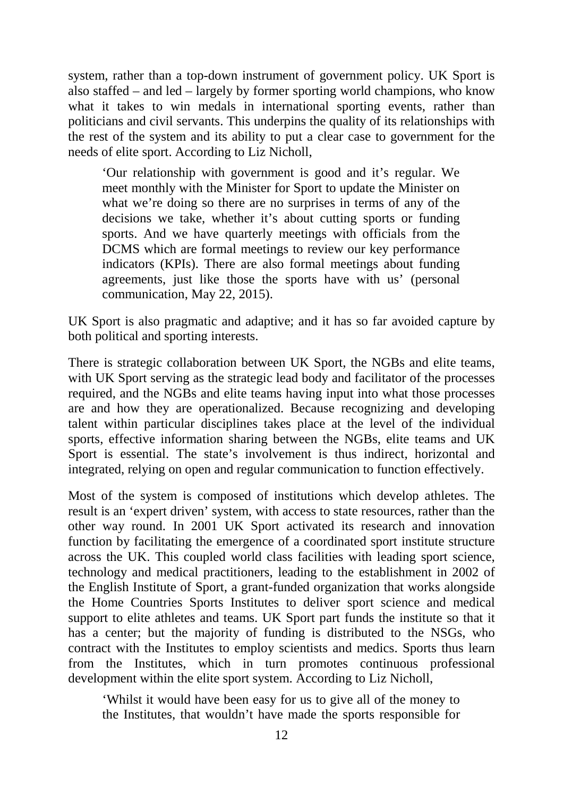system, rather than a top-down instrument of government policy. UK Sport is also staffed – and led – largely by former sporting world champions, who know what it takes to win medals in international sporting events, rather than politicians and civil servants. This underpins the quality of its relationships with the rest of the system and its ability to put a clear case to government for the needs of elite sport. According to Liz Nicholl,

'Our relationship with government is good and it's regular. We meet monthly with the Minister for Sport to update the Minister on what we're doing so there are no surprises in terms of any of the decisions we take, whether it's about cutting sports or funding sports. And we have quarterly meetings with officials from the DCMS which are formal meetings to review our key performance indicators (KPIs). There are also formal meetings about funding agreements, just like those the sports have with us' (personal communication, May 22, 2015).

UK Sport is also pragmatic and adaptive; and it has so far avoided capture by both political and sporting interests.

There is strategic collaboration between UK Sport, the NGBs and elite teams, with UK Sport serving as the strategic lead body and facilitator of the processes required, and the NGBs and elite teams having input into what those processes are and how they are operationalized. Because recognizing and developing talent within particular disciplines takes place at the level of the individual sports, effective information sharing between the NGBs, elite teams and UK Sport is essential. The state's involvement is thus indirect, horizontal and integrated, relying on open and regular communication to function effectively.

Most of the system is composed of institutions which develop athletes. The result is an 'expert driven' system, with access to state resources, rather than the other way round. In 2001 UK Sport activated its research and innovation function by facilitating the emergence of a coordinated sport institute structure across the UK. This coupled world class facilities with leading sport science, technology and medical practitioners, leading to the establishment in 2002 of the English Institute of Sport, a grant-funded organization that works alongside the Home Countries Sports Institutes to deliver sport science and medical support to elite athletes and teams. UK Sport part funds the institute so that it has a center; but the majority of funding is distributed to the NSGs, who contract with the Institutes to employ scientists and medics. Sports thus learn from the Institutes, which in turn promotes continuous professional development within the elite sport system. According to Liz Nicholl,

'Whilst it would have been easy for us to give all of the money to the Institutes, that wouldn't have made the sports responsible for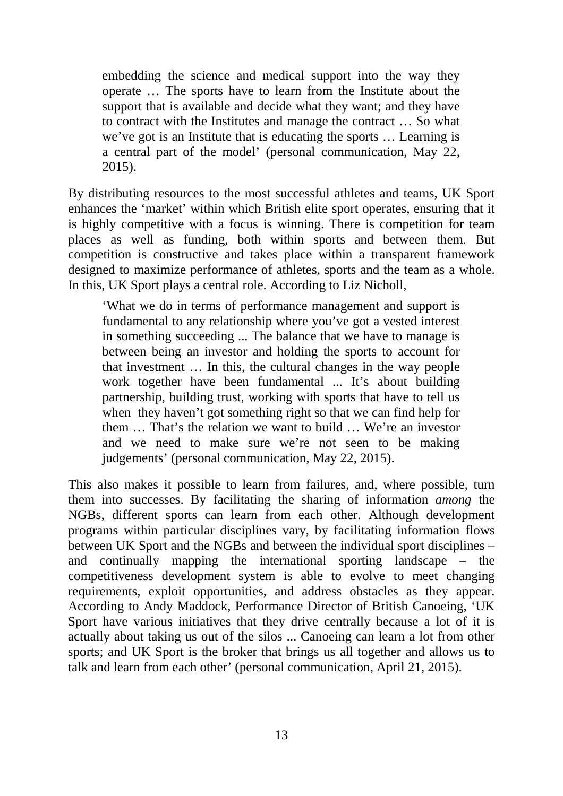embedding the science and medical support into the way they operate … The sports have to learn from the Institute about the support that is available and decide what they want; and they have to contract with the Institutes and manage the contract … So what we've got is an Institute that is educating the sports … Learning is a central part of the model' (personal communication, May 22, 2015).

By distributing resources to the most successful athletes and teams, UK Sport enhances the 'market' within which British elite sport operates, ensuring that it is highly competitive with a focus is winning. There is competition for team places as well as funding, both within sports and between them. But competition is constructive and takes place within a transparent framework designed to maximize performance of athletes, sports and the team as a whole. In this, UK Sport plays a central role. According to Liz Nicholl,

'What we do in terms of performance management and support is fundamental to any relationship where you've got a vested interest in something succeeding ... The balance that we have to manage is between being an investor and holding the sports to account for that investment … In this, the cultural changes in the way people work together have been fundamental ... It's about building partnership, building trust, working with sports that have to tell us when they haven't got something right so that we can find help for them … That's the relation we want to build … We're an investor and we need to make sure we're not seen to be making judgements' (personal communication, May 22, 2015).

This also makes it possible to learn from failures, and, where possible, turn them into successes. By facilitating the sharing of information *among* the NGBs, different sports can learn from each other. Although development programs within particular disciplines vary, by facilitating information flows between UK Sport and the NGBs and between the individual sport disciplines – and continually mapping the international sporting landscape – the competitiveness development system is able to evolve to meet changing requirements, exploit opportunities, and address obstacles as they appear. According to Andy Maddock, Performance Director of British Canoeing, 'UK Sport have various initiatives that they drive centrally because a lot of it is actually about taking us out of the silos ... Canoeing can learn a lot from other sports; and UK Sport is the broker that brings us all together and allows us to talk and learn from each other' (personal communication, April 21, 2015).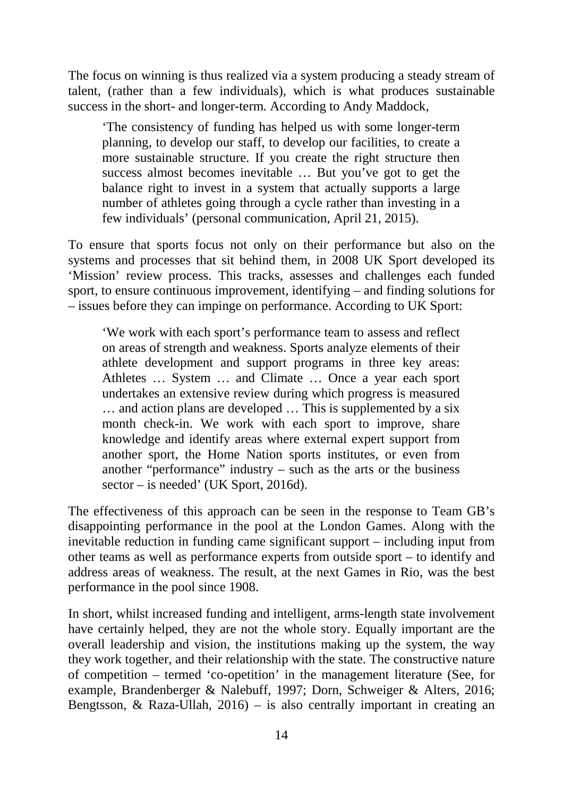The focus on winning is thus realized via a system producing a steady stream of talent, (rather than a few individuals), which is what produces sustainable success in the short- and longer-term. According to Andy Maddock,

'The consistency of funding has helped us with some longer-term planning, to develop our staff, to develop our facilities, to create a more sustainable structure. If you create the right structure then success almost becomes inevitable … But you've got to get the balance right to invest in a system that actually supports a large number of athletes going through a cycle rather than investing in a few individuals' (personal communication, April 21, 2015).

To ensure that sports focus not only on their performance but also on the systems and processes that sit behind them, in 2008 UK Sport developed its 'Mission' review process. This tracks, assesses and challenges each funded sport, to ensure continuous improvement, identifying – and finding solutions for – issues before they can impinge on performance. According to UK Sport:

'We work with each sport's performance team to assess and reflect on areas of strength and weakness. Sports analyze elements of their athlete development and support programs in three key areas: Athletes … System … and Climate … Once a year each sport undertakes an extensive review during which progress is measured … and action plans are developed … This is supplemented by a six month check-in. We work with each sport to improve, share knowledge and identify areas where external expert support from another sport, the Home Nation sports institutes, or even from another "performance" industry – such as the arts or the business sector – is needed' (UK Sport, 2016d).

The effectiveness of this approach can be seen in the response to Team GB's disappointing performance in the pool at the London Games. Along with the inevitable reduction in funding came significant support – including input from other teams as well as performance experts from outside sport – to identify and address areas of weakness. The result, at the next Games in Rio, was the best performance in the pool since 1908.

In short, whilst increased funding and intelligent, arms-length state involvement have certainly helped, they are not the whole story. Equally important are the overall leadership and vision, the institutions making up the system, the way they work together, and their relationship with the state. The constructive nature of competition – termed 'co-opetition' in the management literature (See, for example, Brandenberger & Nalebuff, 1997; Dorn, Schweiger & Alters, 2016; Bengtsson,  $\&$  Raza-Ullah, 2016) – is also centrally important in creating an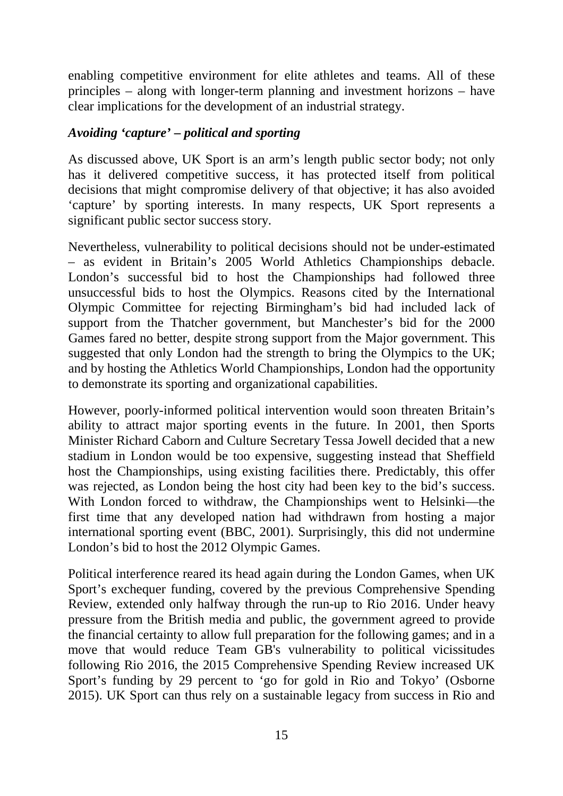enabling competitive environment for elite athletes and teams. All of these principles – along with longer-term planning and investment horizons – have clear implications for the development of an industrial strategy.

### *Avoiding 'capture' – political and sporting*

As discussed above, UK Sport is an arm's length public sector body; not only has it delivered competitive success, it has protected itself from political decisions that might compromise delivery of that objective; it has also avoided 'capture' by sporting interests. In many respects, UK Sport represents a significant public sector success story.

Nevertheless, vulnerability to political decisions should not be under-estimated – as evident in Britain's 2005 World Athletics Championships debacle. London's successful bid to host the Championships had followed three unsuccessful bids to host the Olympics. Reasons cited by the International Olympic Committee for rejecting Birmingham's bid had included lack of support from the Thatcher government, but Manchester's bid for the 2000 Games fared no better, despite strong support from the Major government. This suggested that only London had the strength to bring the Olympics to the UK; and by hosting the Athletics World Championships, London had the opportunity to demonstrate its sporting and organizational capabilities.

However, poorly-informed political intervention would soon threaten Britain's ability to attract major sporting events in the future. In 2001, then Sports Minister Richard Caborn and Culture Secretary Tessa Jowell decided that a new stadium in London would be too expensive, suggesting instead that Sheffield host the Championships, using existing facilities there. Predictably, this offer was rejected, as London being the host city had been key to the bid's success. With London forced to withdraw, the Championships went to Helsinki—the first time that any developed nation had withdrawn from hosting a major international sporting event (BBC, 2001). Surprisingly, this did not undermine London's bid to host the 2012 Olympic Games.

Political interference reared its head again during the London Games, when UK Sport's exchequer funding, covered by the previous Comprehensive Spending Review, extended only halfway through the run-up to Rio 2016. Under heavy pressure from the British media and public, the government agreed to provide the financial certainty to allow full preparation for the following games; and in a move that would reduce Team GB's vulnerability to political vicissitudes following Rio 2016, the 2015 Comprehensive Spending Review increased UK Sport's funding by 29 percent to 'go for gold in Rio and Tokyo' (Osborne 2015). UK Sport can thus rely on a sustainable legacy from success in Rio and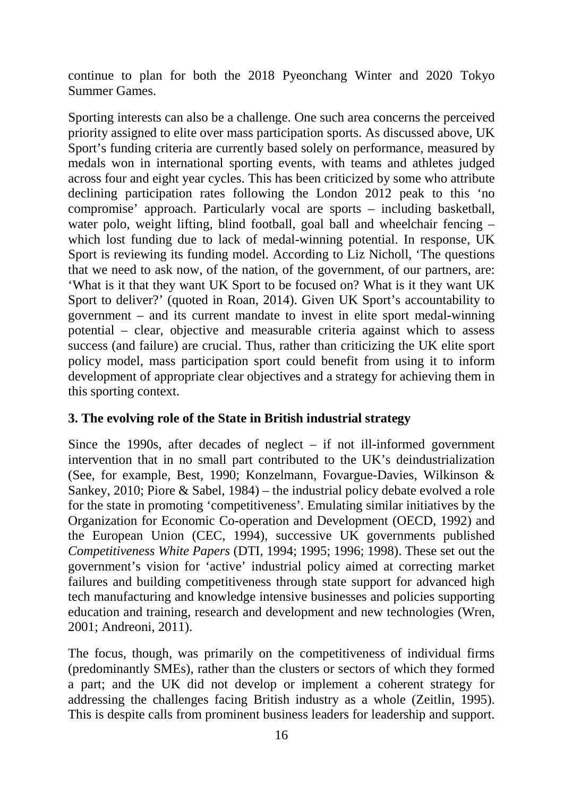continue to plan for both the 2018 Pyeonchang Winter and 2020 Tokyo Summer Games.

Sporting interests can also be a challenge. One such area concerns the perceived priority assigned to elite over mass participation sports. As discussed above, UK Sport's funding criteria are currently based solely on performance, measured by medals won in international sporting events, with teams and athletes judged across four and eight year cycles. This has been criticized by some who attribute declining participation rates following the London 2012 peak to this 'no compromise' approach. Particularly vocal are sports – including basketball, water polo, weight lifting, blind football, goal ball and wheelchair fencing – which lost funding due to lack of medal-winning potential. In response, UK Sport is reviewing its funding model. According to Liz Nicholl, 'The questions that we need to ask now, of the nation, of the government, of our partners, are: 'What is it that they want UK Sport to be focused on? What is it they want UK Sport to deliver?' (quoted in Roan, 2014). Given UK Sport's accountability to government – and its current mandate to invest in elite sport medal-winning potential – clear, objective and measurable criteria against which to assess success (and failure) are crucial. Thus, rather than criticizing the UK elite sport policy model, mass participation sport could benefit from using it to inform development of appropriate clear objectives and a strategy for achieving them in this sporting context.

# **3. The evolving role of the State in British industrial strategy**

Since the 1990s, after decades of neglect  $-$  if not ill-informed government intervention that in no small part contributed to the UK's deindustrialization (See, for example, Best, 1990; Konzelmann, Fovargue-Davies, Wilkinson & Sankey, 2010; Piore & Sabel, 1984) – the industrial policy debate evolved a role for the state in promoting 'competitiveness'. Emulating similar initiatives by the Organization for Economic Co-operation and Development (OECD, 1992) and the European Union (CEC, 1994), successive UK governments published *Competitiveness White Papers* (DTI, 1994; 1995; 1996; 1998). These set out the government's vision for 'active' industrial policy aimed at correcting market failures and building competitiveness through state support for advanced high tech manufacturing and knowledge intensive businesses and policies supporting education and training, research and development and new technologies (Wren, 2001; Andreoni, 2011).

The focus, though, was primarily on the competitiveness of individual firms (predominantly SMEs), rather than the clusters or sectors of which they formed a part; and the UK did not develop or implement a coherent strategy for addressing the challenges facing British industry as a whole (Zeitlin, 1995). This is despite calls from prominent business leaders for leadership and support.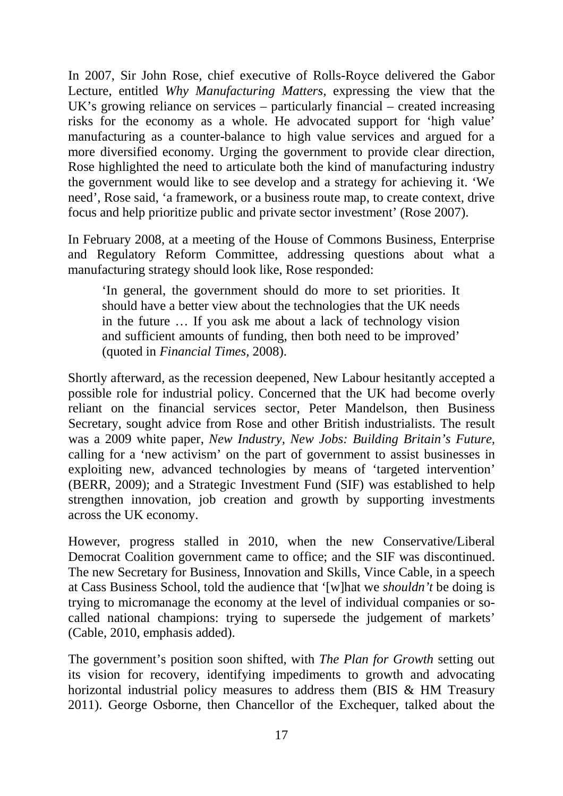In 2007, Sir John Rose, chief executive of Rolls-Royce delivered the Gabor Lecture, entitled *Why Manufacturing Matters,* expressing the view that the UK's growing reliance on services – particularly financial – created increasing risks for the economy as a whole. He advocated support for 'high value' manufacturing as a counter-balance to high value services and argued for a more diversified economy. Urging the government to provide clear direction, Rose highlighted the need to articulate both the kind of manufacturing industry the government would like to see develop and a strategy for achieving it. 'We need', Rose said, 'a framework, or a business route map, to create context, drive focus and help prioritize public and private sector investment' (Rose 2007).

In February 2008, at a meeting of the House of Commons Business, Enterprise and Regulatory Reform Committee, addressing questions about what a manufacturing strategy should look like, Rose responded:

'In general, the government should do more to set priorities. It should have a better view about the technologies that the UK needs in the future … If you ask me about a lack of technology vision and sufficient amounts of funding, then both need to be improved' (quoted in *Financial Times,* 2008).

Shortly afterward, as the recession deepened, New Labour hesitantly accepted a possible role for industrial policy. Concerned that the UK had become overly reliant on the financial services sector, Peter Mandelson, then Business Secretary, sought advice from Rose and other British industrialists. The result was a 2009 white paper, *New Industry, New Jobs: Building Britain's Future,* calling for a 'new activism' on the part of government to assist businesses in exploiting new, advanced technologies by means of 'targeted intervention' (BERR, 2009); and a Strategic Investment Fund (SIF) was established to help strengthen innovation, job creation and growth by supporting investments across the UK economy.

However, progress stalled in 2010, when the new Conservative/Liberal Democrat Coalition government came to office; and the SIF was discontinued. The new Secretary for Business, Innovation and Skills, Vince Cable, in a speech at Cass Business School, told the audience that '[w]hat we *shouldn't* be doing is trying to micromanage the economy at the level of individual companies or socalled national champions: trying to supersede the judgement of markets' (Cable, 2010, emphasis added).

The government's position soon shifted, with *The Plan for Growth* setting out its vision for recovery, identifying impediments to growth and advocating horizontal industrial policy measures to address them (BIS & HM Treasury 2011). George Osborne, then Chancellor of the Exchequer, talked about the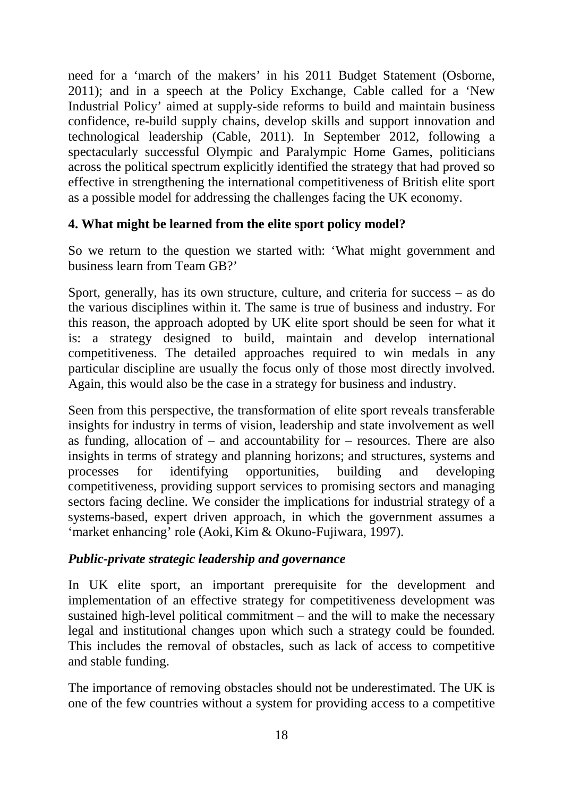need for a 'march of the makers' in his 2011 Budget Statement (Osborne, 2011); and in a speech at the Policy Exchange, Cable called for a 'New Industrial Policy' aimed at supply-side reforms to build and maintain business confidence, re-build supply chains, develop skills and support innovation and technological leadership (Cable, 2011). In September 2012, following a spectacularly successful Olympic and Paralympic Home Games, politicians across the political spectrum explicitly identified the strategy that had proved so effective in strengthening the international competitiveness of British elite sport as a possible model for addressing the challenges facing the UK economy.

## **4. What might be learned from the elite sport policy model?**

So we return to the question we started with: 'What might government and business learn from Team GB?'

Sport, generally, has its own structure, culture, and criteria for success – as do the various disciplines within it. The same is true of business and industry. For this reason, the approach adopted by UK elite sport should be seen for what it is: a strategy designed to build, maintain and develop international competitiveness. The detailed approaches required to win medals in any particular discipline are usually the focus only of those most directly involved. Again, this would also be the case in a strategy for business and industry.

Seen from this perspective, the transformation of elite sport reveals transferable insights for industry in terms of vision, leadership and state involvement as well as funding, allocation of – and accountability for – resources. There are also insights in terms of strategy and planning horizons; and structures, systems and processes for identifying opportunities, building and developing competitiveness, providing support services to promising sectors and managing sectors facing decline. We consider the implications for industrial strategy of a systems-based, expert driven approach, in which the government assumes a 'market enhancing' role (Aoki, Kim & Okuno-Fujiwara, [1997\)](#page-27-0).

# *Public-private strategic leadership and governance*

In UK elite sport, an important prerequisite for the development and implementation of an effective strategy for competitiveness development was sustained high-level political commitment – and the will to make the necessary legal and institutional changes upon which such a strategy could be founded. This includes the removal of obstacles, such as lack of access to competitive and stable funding.

The importance of removing obstacles should not be underestimated. The UK is one of the few countries without a system for providing access to a competitive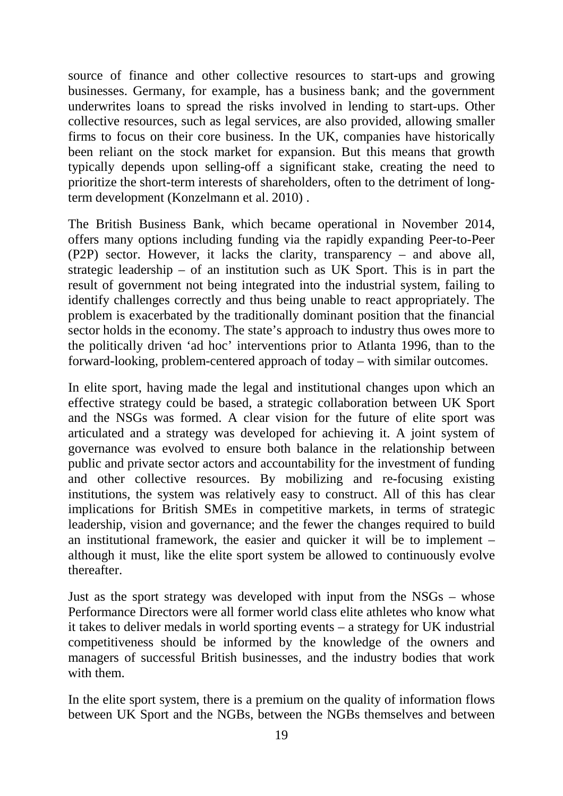source of finance and other collective resources to start-ups and growing businesses. Germany, for example, has a business bank; and the government underwrites loans to spread the risks involved in lending to start-ups. Other collective resources, such as legal services, are also provided, allowing smaller firms to focus on their core business. In the UK, companies have historically been reliant on the stock market for expansion. But this means that growth typically depends upon selling-off a significant stake, creating the need to prioritize the short-term interests of shareholders, often to the detriment of longterm development (Konzelmann et al. 2010) .

The British Business Bank, which became operational in November 2014, offers many options including funding via the rapidly expanding Peer-to-Peer (P2P) sector. However, it lacks the clarity, transparency – and above all, strategic leadership – of an institution such as UK Sport. This is in part the result of government not being integrated into the industrial system, failing to identify challenges correctly and thus being unable to react appropriately. The problem is exacerbated by the traditionally dominant position that the financial sector holds in the economy. The state's approach to industry thus owes more to the politically driven 'ad hoc' interventions prior to Atlanta 1996, than to the forward-looking, problem-centered approach of today – with similar outcomes.

In elite sport, having made the legal and institutional changes upon which an effective strategy could be based, a strategic collaboration between UK Sport and the NSGs was formed. A clear vision for the future of elite sport was articulated and a strategy was developed for achieving it. A joint system of governance was evolved to ensure both balance in the relationship between public and private sector actors and accountability for the investment of funding and other collective resources. By mobilizing and re-focusing existing institutions, the system was relatively easy to construct. All of this has clear implications for British SMEs in competitive markets, in terms of strategic leadership, vision and governance; and the fewer the changes required to build an institutional framework, the easier and quicker it will be to implement – although it must, like the elite sport system be allowed to continuously evolve thereafter.

Just as the sport strategy was developed with input from the NSGs – whose Performance Directors were all former world class elite athletes who know what it takes to deliver medals in world sporting events – a strategy for UK industrial competitiveness should be informed by the knowledge of the owners and managers of successful British businesses, and the industry bodies that work with them.

In the elite sport system, there is a premium on the quality of information flows between UK Sport and the NGBs, between the NGBs themselves and between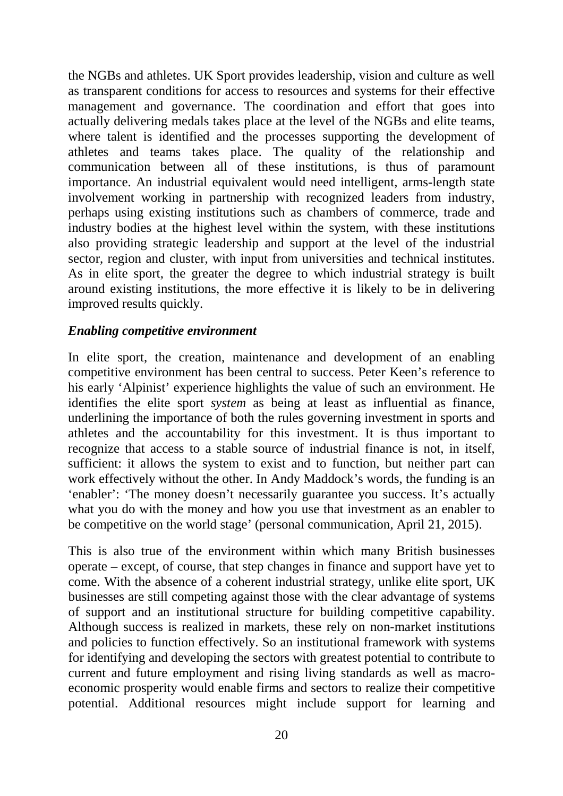the NGBs and athletes. UK Sport provides leadership, vision and culture as well as transparent conditions for access to resources and systems for their effective management and governance. The coordination and effort that goes into actually delivering medals takes place at the level of the NGBs and elite teams, where talent is identified and the processes supporting the development of athletes and teams takes place. The quality of the relationship and communication between all of these institutions, is thus of paramount importance. An industrial equivalent would need intelligent, arms-length state involvement working in partnership with recognized leaders from industry, perhaps using existing institutions such as chambers of commerce, trade and industry bodies at the highest level within the system, with these institutions also providing strategic leadership and support at the level of the industrial sector, region and cluster, with input from universities and technical institutes. As in elite sport, the greater the degree to which industrial strategy is built around existing institutions, the more effective it is likely to be in delivering improved results quickly.

#### *Enabling competitive environment*

In elite sport, the creation, maintenance and development of an enabling competitive environment has been central to success. Peter Keen's reference to his early 'Alpinist' experience highlights the value of such an environment. He identifies the elite sport *system* as being at least as influential as finance, underlining the importance of both the rules governing investment in sports and athletes and the accountability for this investment. It is thus important to recognize that access to a stable source of industrial finance is not, in itself, sufficient: it allows the system to exist and to function, but neither part can work effectively without the other. In Andy Maddock's words, the funding is an 'enabler': 'The money doesn't necessarily guarantee you success. It's actually what you do with the money and how you use that investment as an enabler to be competitive on the world stage' (personal communication, April 21, 2015).

This is also true of the environment within which many British businesses operate – except, of course, that step changes in finance and support have yet to come. With the absence of a coherent industrial strategy, unlike elite sport, UK businesses are still competing against those with the clear advantage of systems of support and an institutional structure for building competitive capability. Although success is realized in markets, these rely on non-market institutions and policies to function effectively. So an institutional framework with systems for identifying and developing the sectors with greatest potential to contribute to current and future employment and rising living standards as well as macroeconomic prosperity would enable firms and sectors to realize their competitive potential. Additional resources might include support for learning and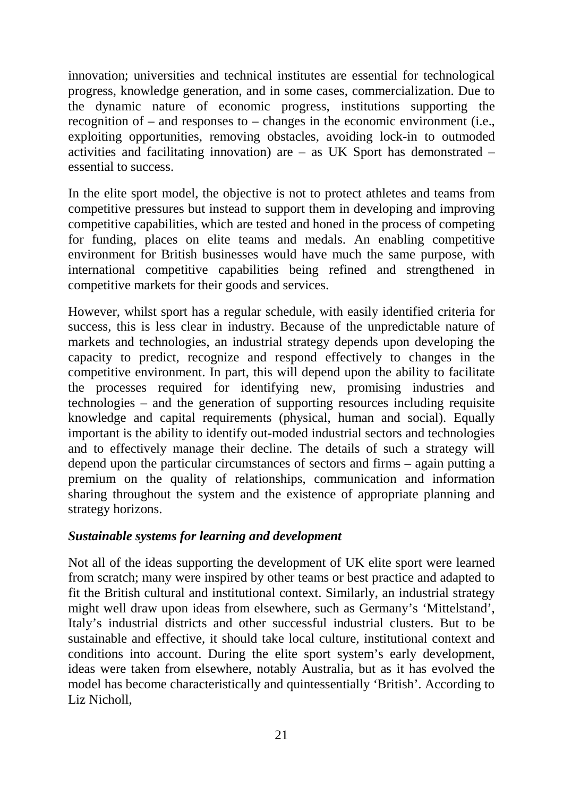innovation; universities and technical institutes are essential for technological progress, knowledge generation, and in some cases, commercialization. Due to the dynamic nature of economic progress, institutions supporting the recognition of – and responses to – changes in the economic environment (i.e., exploiting opportunities, removing obstacles, avoiding lock-in to outmoded activities and facilitating innovation) are – as UK Sport has demonstrated – essential to success.

In the elite sport model, the objective is not to protect athletes and teams from competitive pressures but instead to support them in developing and improving competitive capabilities, which are tested and honed in the process of competing for funding, places on elite teams and medals. An enabling competitive environment for British businesses would have much the same purpose, with international competitive capabilities being refined and strengthened in competitive markets for their goods and services.

However, whilst sport has a regular schedule, with easily identified criteria for success, this is less clear in industry. Because of the unpredictable nature of markets and technologies, an industrial strategy depends upon developing the capacity to predict, recognize and respond effectively to changes in the competitive environment. In part, this will depend upon the ability to facilitate the processes required for identifying new, promising industries and technologies – and the generation of supporting resources including requisite knowledge and capital requirements (physical, human and social). Equally important is the ability to identify out-moded industrial sectors and technologies and to effectively manage their decline. The details of such a strategy will depend upon the particular circumstances of sectors and firms – again putting a premium on the quality of relationships, communication and information sharing throughout the system and the existence of appropriate planning and strategy horizons.

### *Sustainable systems for learning and development*

Not all of the ideas supporting the development of UK elite sport were learned from scratch; many were inspired by other teams or best practice and adapted to fit the British cultural and institutional context. Similarly, an industrial strategy might well draw upon ideas from elsewhere, such as Germany's 'Mittelstand', Italy's industrial districts and other successful industrial clusters. But to be sustainable and effective, it should take local culture, institutional context and conditions into account. During the elite sport system's early development, ideas were taken from elsewhere, notably Australia, but as it has evolved the model has become characteristically and quintessentially 'British'. According to Liz Nicholl,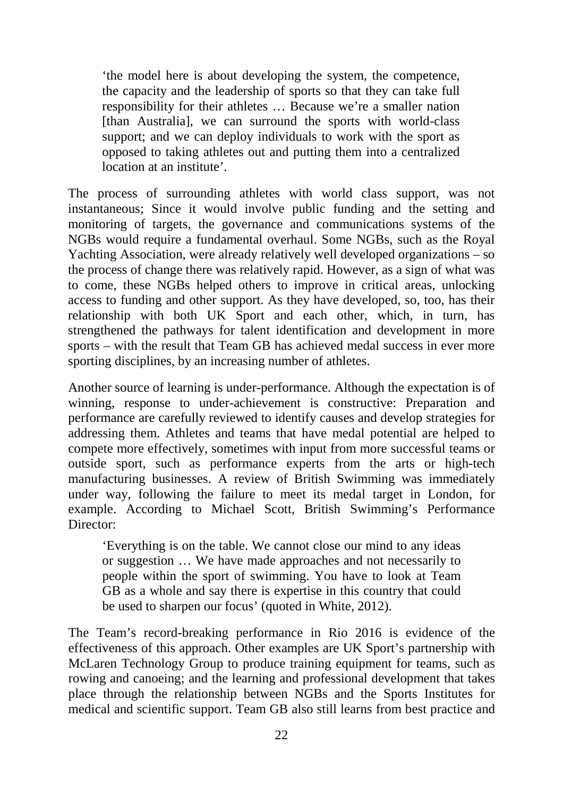'the model here is about developing the system, the competence, the capacity and the leadership of sports so that they can take full responsibility for their athletes … Because we're a smaller nation [than Australia], we can surround the sports with world-class support; and we can deploy individuals to work with the sport as opposed to taking athletes out and putting them into a centralized location at an institute'.

The process of surrounding athletes with world class support, was not instantaneous; Since it would involve public funding and the setting and monitoring of targets, the governance and communications systems of the NGBs would require a fundamental overhaul. Some NGBs, such as the Royal Yachting Association, were already relatively well developed organizations – so the process of change there was relatively rapid. However, as a sign of what was to come, these NGBs helped others to improve in critical areas, unlocking access to funding and other support. As they have developed, so, too, has their relationship with both UK Sport and each other, which, in turn, has strengthened the pathways for talent identification and development in more sports – with the result that Team GB has achieved medal success in ever more sporting disciplines, by an increasing number of athletes.

Another source of learning is under-performance. Although the expectation is of winning, response to under-achievement is constructive: Preparation and performance are carefully reviewed to identify causes and develop strategies for addressing them. Athletes and teams that have medal potential are helped to compete more effectively, sometimes with input from more successful teams or outside sport, such as performance experts from the arts or high-tech manufacturing businesses. A review of British Swimming was immediately under way, following the failure to meet its medal target in London, for example. According to Michael Scott, British Swimming's Performance Director:

'Everything is on the table. We cannot close our mind to any ideas or suggestion … We have made approaches and not necessarily to people within the sport of swimming. You have to look at Team GB as a whole and say there is expertise in this country that could be used to sharpen our focus' (quoted in White, [2012\)](#page-31-0).

The Team's record-breaking performance in Rio 2016 is evidence of the effectiveness of this approach. Other examples are UK Sport's partnership with McLaren Technology Group to produce training equipment for teams, such as rowing and canoeing; and the learning and professional development that takes place through the relationship between NGBs and the Sports Institutes for medical and scientific support. Team GB also still learns from best practice and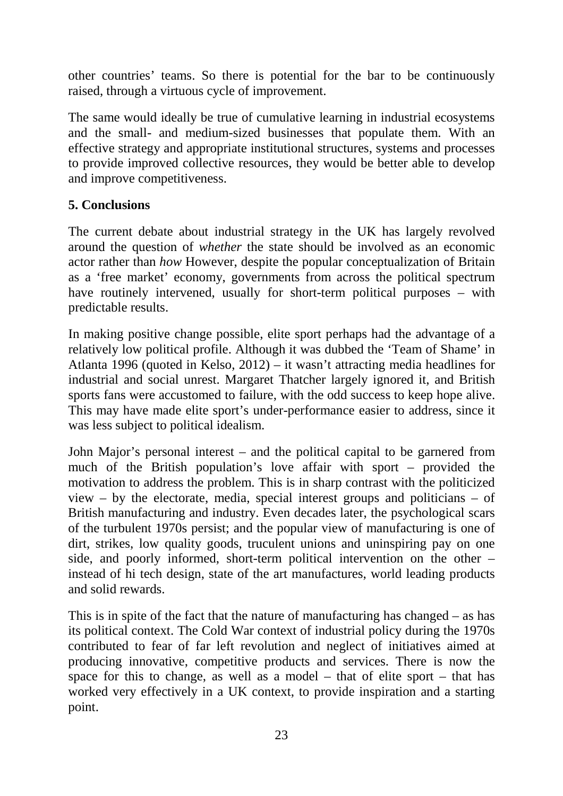other countries' teams. So there is potential for the bar to be continuously raised, through a virtuous cycle of improvement.

The same would ideally be true of cumulative learning in industrial ecosystems and the small- and medium-sized businesses that populate them. With an effective strategy and appropriate institutional structures, systems and processes to provide improved collective resources, they would be better able to develop and improve competitiveness.

# **5. Conclusions**

The current debate about industrial strategy in the UK has largely revolved around the question of *whether* the state should be involved as an economic actor rather than *how* However, despite the popular conceptualization of Britain as a 'free market' economy, governments from across the political spectrum have routinely intervened, usually for short-term political purposes – with predictable results.

In making positive change possible, elite sport perhaps had the advantage of a relatively low political profile. Although it was dubbed the 'Team of Shame' in Atlanta 1996 (quoted in Kelso, 2012) – it wasn't attracting media headlines for industrial and social unrest. Margaret Thatcher largely ignored it, and British sports fans were accustomed to failure, with the odd success to keep hope alive. This may have made elite sport's under-performance easier to address, since it was less subject to political idealism.

John Major's personal interest – and the political capital to be garnered from much of the British population's love affair with sport – provided the motivation to address the problem. This is in sharp contrast with the politicized view – by the electorate, media, special interest groups and politicians – of British manufacturing and industry. Even decades later, the psychological scars of the turbulent 1970s persist; and the popular view of manufacturing is one of dirt, strikes, low quality goods, truculent unions and uninspiring pay on one side, and poorly informed, short-term political intervention on the other – instead of hi tech design, state of the art manufactures, world leading products and solid rewards.

This is in spite of the fact that the nature of manufacturing has changed – as has its political context. The Cold War context of industrial policy during the 1970s contributed to fear of far left revolution and neglect of initiatives aimed at producing innovative, competitive products and services. There is now the space for this to change, as well as a model – that of elite sport – that has worked very effectively in a UK context, to provide inspiration and a starting point.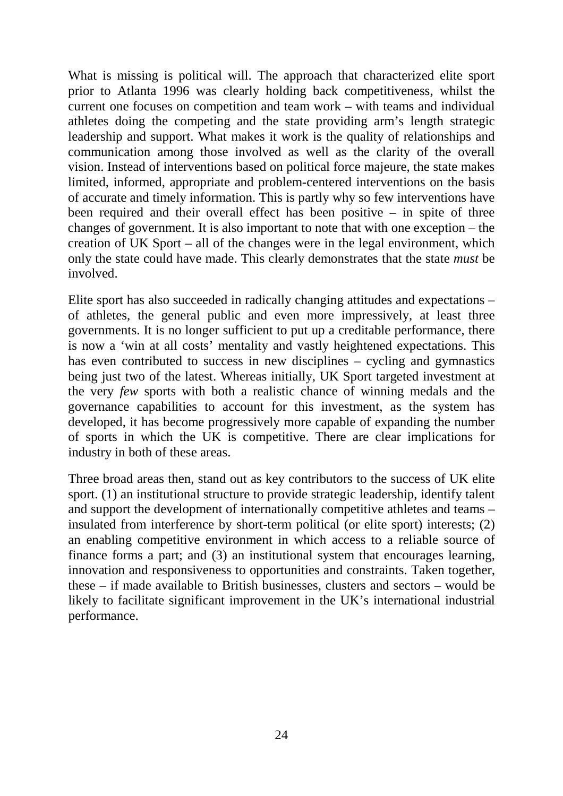What is missing is political will. The approach that characterized elite sport prior to Atlanta 1996 was clearly holding back competitiveness, whilst the current one focuses on competition and team work – with teams and individual athletes doing the competing and the state providing arm's length strategic leadership and support. What makes it work is the quality of relationships and communication among those involved as well as the clarity of the overall vision. Instead of interventions based on political force majeure, the state makes limited, informed, appropriate and problem-centered interventions on the basis of accurate and timely information. This is partly why so few interventions have been required and their overall effect has been positive – in spite of three changes of government. It is also important to note that with one exception – the creation of UK Sport – all of the changes were in the legal environment, which only the state could have made. This clearly demonstrates that the state *must* be involved.

Elite sport has also succeeded in radically changing attitudes and expectations – of athletes, the general public and even more impressively, at least three governments. It is no longer sufficient to put up a creditable performance, there is now a 'win at all costs' mentality and vastly heightened expectations. This has even contributed to success in new disciplines – cycling and gymnastics being just two of the latest. Whereas initially, UK Sport targeted investment at the very *few* sports with both a realistic chance of winning medals and the governance capabilities to account for this investment, as the system has developed, it has become progressively more capable of expanding the number of sports in which the UK is competitive. There are clear implications for industry in both of these areas.

Three broad areas then, stand out as key contributors to the success of UK elite sport. (1) an institutional structure to provide strategic leadership, identify talent and support the development of internationally competitive athletes and teams – insulated from interference by short-term political (or elite sport) interests; (2) an enabling competitive environment in which access to a reliable source of finance forms a part; and (3) an institutional system that encourages learning, innovation and responsiveness to opportunities and constraints. Taken together, these – if made available to British businesses, clusters and sectors – would be likely to facilitate significant improvement in the UK's international industrial performance.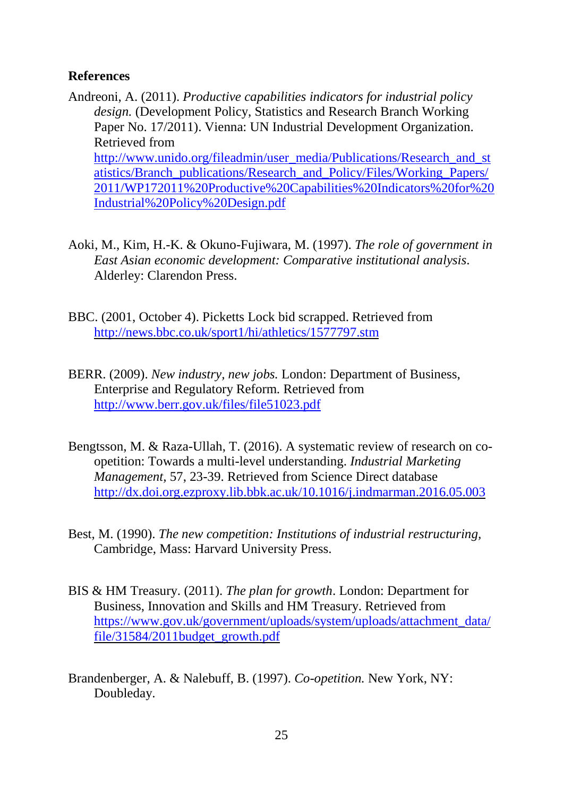#### **References**

- Andreoni, A. (2011). *Productive capabilities indicators for industrial policy design.* (Development Policy, Statistics and Research Branch Working Paper No. 17/2011). Vienna: UN Industrial Development Organization. Retrieved from [http://www.unido.org/fileadmin/user\\_media/Publications/Research\\_and\\_st](http://www.unido.org/fileadmin/user_media/Publications/Research_and_statistics/Branch_publications/Research_and_Policy/Files/Working_Papers/2011/WP172011%2520Productive%2520Capabilities%2520Indicators%2520for%2520Industrial%2520Policy%2520Design.pdf) [atistics/Branch\\_publications/Research\\_and\\_Policy/Files/Working\\_Papers/](http://www.unido.org/fileadmin/user_media/Publications/Research_and_statistics/Branch_publications/Research_and_Policy/Files/Working_Papers/2011/WP172011%2520Productive%2520Capabilities%2520Indicators%2520for%2520Industrial%2520Policy%2520Design.pdf) [2011/WP172011%20Productive%20Capabilities%20Indicators%20for%20](http://www.unido.org/fileadmin/user_media/Publications/Research_and_statistics/Branch_publications/Research_and_Policy/Files/Working_Papers/2011/WP172011%2520Productive%2520Capabilities%2520Indicators%2520for%2520Industrial%2520Policy%2520Design.pdf) [Industrial%20Policy%20Design.pdf](http://www.unido.org/fileadmin/user_media/Publications/Research_and_statistics/Branch_publications/Research_and_Policy/Files/Working_Papers/2011/WP172011%2520Productive%2520Capabilities%2520Indicators%2520for%2520Industrial%2520Policy%2520Design.pdf)
- <span id="page-27-0"></span>Aoki, M., Kim, H.-K. & Okuno-Fujiwara, M. (1997). *The role of government in East Asian economic development: Comparative institutional analysis*. Alderley: Clarendon Press.
- BBC. (2001, October 4). Picketts Lock bid scrapped. Retrieved from <http://news.bbc.co.uk/sport1/hi/athletics/1577797.stm>
- BERR. (2009). *New industry, new jobs.* London: Department of Business, Enterprise and Regulatory Reform. Retrieved from <http://www.berr.gov.uk/files/file51023.pdf>
- Bengtsson, M. & Raza-Ullah, T. (2016). A systematic review of research on coopetition: Towards a multi-level understanding. *Industrial Marketing Management,* 57, 23-39. Retrieved from Science Direct database <http://dx.doi.org.ezproxy.lib.bbk.ac.uk/10.1016/j.indmarman.2016.05.003>
- Best, M. (1990). *The new competition: Institutions of industrial restructuring,* Cambridge, Mass: Harvard University Press.
- BIS & HM Treasury. (2011). *The plan for growth*. London: Department for Business, Innovation and Skills and HM Treasury. Retrieved from [https://www.gov.uk/government/uploads/system/uploads/attachment\\_data/](https://www.gov.uk/government/uploads/system/uploads/attachment_data/file/31584/2011budget_growth.pdf) [file/31584/2011budget\\_growth.pdf](https://www.gov.uk/government/uploads/system/uploads/attachment_data/file/31584/2011budget_growth.pdf)
- Brandenberger, A. & Nalebuff, B. (1997). *Co-opetition.* New York, NY: Doubleday.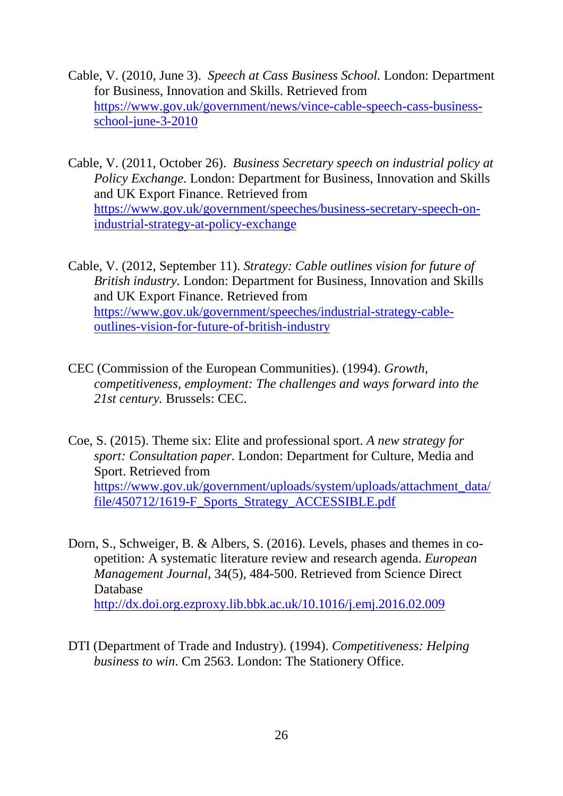- Cable, V. (2010, June 3). *Speech at Cass Business School.* London: Department for Business, Innovation and Skills. Retrieved from [https://www.gov.uk/government/news/vince-cable-speech-cass-business](https://www.gov.uk/government/news/vince-cable-speech-cass-business-school-june-3-2010)[school-june-3-2010](https://www.gov.uk/government/news/vince-cable-speech-cass-business-school-june-3-2010)
- Cable, V. (2011, October 26). *Business Secretary speech on industrial policy at Policy Exchange.* London: Department for Business, Innovation and Skills and UK Export Finance. Retrieved from [https://www.gov.uk/government/speeches/business-secretary-speech-on](https://www.gov.uk/government/speeches/business-secretary-speech-on-industrial-strategy-at-policy-exchange)[industrial-strategy-at-policy-exchange](https://www.gov.uk/government/speeches/business-secretary-speech-on-industrial-strategy-at-policy-exchange)
- Cable, V. (2012, September 11). *Strategy: Cable outlines vision for future of British industry.* London: Department for Business, Innovation and Skills and UK Export Finance. Retrieved from [https://www.gov.uk/government/speeches/industrial-strategy-cable](https://www.gov.uk/government/speeches/industrial-strategy-cable-outlines-vision-for-future-of-british-industry)[outlines-vision-for-future-of-british-industry](https://www.gov.uk/government/speeches/industrial-strategy-cable-outlines-vision-for-future-of-british-industry)
- CEC (Commission of the European Communities). (1994). *Growth, competitiveness, employment: The challenges and ways forward into the 21st century.* Brussels: CEC.
- Coe, S. (2015). Theme six: Elite and professional sport. *A new strategy for sport: Consultation paper.* London: Department for Culture, Media and Sport. Retrieved from [https://www.gov.uk/government/uploads/system/uploads/attachment\\_data/](https://www.gov.uk/government/uploads/system/uploads/attachment_data/file/450712/1619-F_Sports_Strategy_ACCESSIBLE.pdf) file/450712/1619-F\_Sports\_Strategy\_ACCESSIBLE.pdf
- Dorn, S., Schweiger, B. & Albers, S. (2016). Levels, phases and themes in coopetition: A systematic literature review and research agenda. *European Management Journal,* 34(5), 484-500. Retrieved from Science Direct Database <http://dx.doi.org.ezproxy.lib.bbk.ac.uk/10.1016/j.emj.2016.02.009>
- DTI (Department of Trade and Industry). (1994). *Competitiveness: Helping business to win*. Cm 2563. London: The Stationery Office.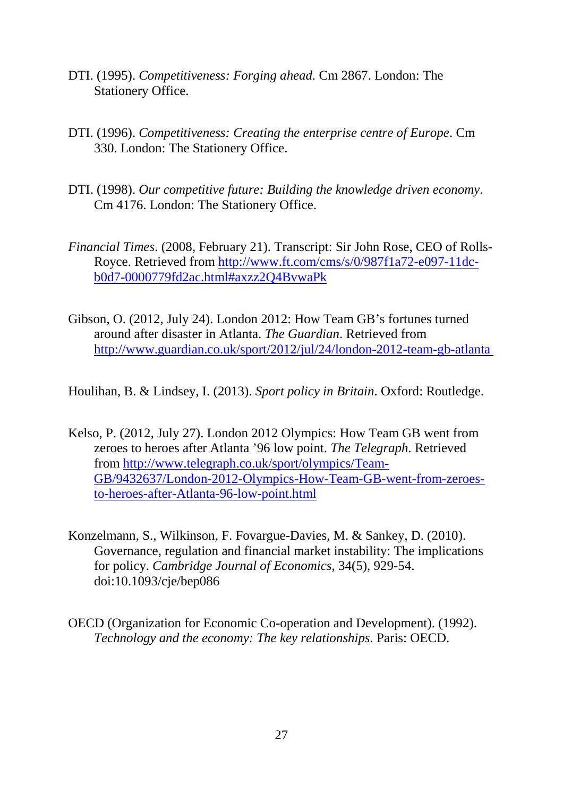- DTI. (1995). *Competitiveness: Forging ahead.* Cm 2867. London: The Stationery Office.
- DTI. (1996). *Competitiveness: Creating the enterprise centre of Europe*. Cm 330. London: The Stationery Office.
- DTI. (1998). *Our competitive future: Building the knowledge driven economy*. Cm 4176. London: The Stationery Office.
- *Financial Times*. (2008, February 21). Transcript: Sir John Rose, CEO of Rolls-Royce. Retrieved from [http://www.ft.com/cms/s/0/987f1a72-e097-11dc](http://www.ft.com/cms/s/0/987f1a72-e097-11dc-b0d7-0000779fd2ac.html%23axzz2Q4BvwaPk)[b0d7-0000779fd2ac.html#axzz2Q4BvwaPk](http://www.ft.com/cms/s/0/987f1a72-e097-11dc-b0d7-0000779fd2ac.html%23axzz2Q4BvwaPk)
- Gibson, O. (2012, July 24). London 2012: How Team GB's fortunes turned around after disaster in Atlanta. *The Guardian*. Retrieved from [http://www.guardian.co.uk/sport/2012/jul/24/london-2012-team-gb-atlanta](http://www.guardian.co.uk/sport/2012/jul/24/london-2012-team-gb-atlanta%2520)

<span id="page-29-0"></span>Houlihan, B. & Lindsey, I. (2013). *Sport policy in Britain*. Oxford: Routledge.

- Kelso, P. (2012, July 27). London 2012 Olympics: How Team GB went from zeroes to heroes after Atlanta '96 low point. *The Telegraph.* Retrieved from [http://www.telegraph.co.uk/sport/olympics/Team-](http://www.telegraph.co.uk/sport/olympics/Team-GB/9432637/London-2012-Olympics-How-Team-GB-went-from-zeroes-to-heroes-after-Atlanta-96-low-point.html)[GB/9432637/London-2012-Olympics-How-Team-GB-went-from-zeroes](http://www.telegraph.co.uk/sport/olympics/Team-GB/9432637/London-2012-Olympics-How-Team-GB-went-from-zeroes-to-heroes-after-Atlanta-96-low-point.html)[to-heroes-after-Atlanta-96-low-point.html](http://www.telegraph.co.uk/sport/olympics/Team-GB/9432637/London-2012-Olympics-How-Team-GB-went-from-zeroes-to-heroes-after-Atlanta-96-low-point.html)
- Konzelmann, S., Wilkinson, F. Fovargue-Davies, M. & Sankey, D. (2010). Governance, regulation and financial market instability: The implications for policy. *Cambridge Journal of Economics,* 34(5), 929-54. doi:10.1093/cje/bep086
- OECD (Organization for Economic Co-operation and Development). (1992). *Technology and the economy: The key relationships.* Paris: OECD.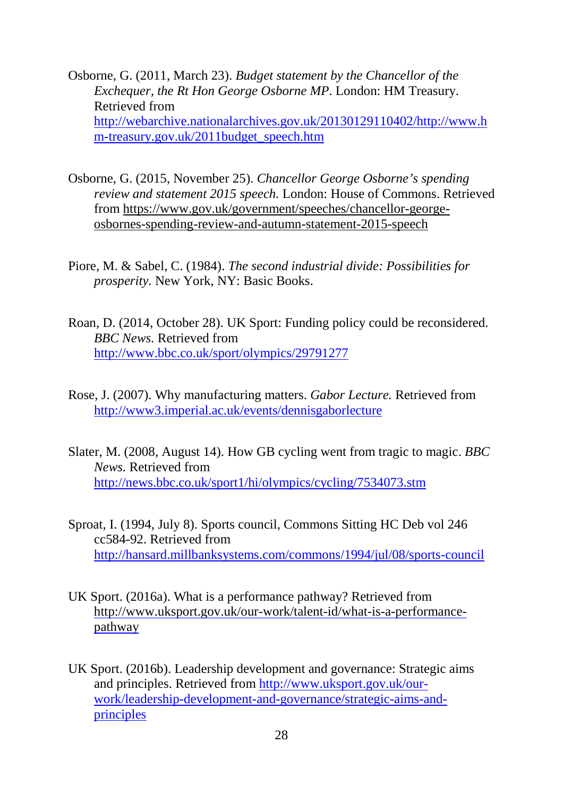Osborne, G. (2011, March 23). *Budget statement by the Chancellor of the Exchequer, the Rt Hon George Osborne MP*. London: HM Treasury. Retrieved from [http://webarchive.nationalarchives.gov.uk/20130129110402/http://www.h](http://webarchive.nationalarchives.gov.uk/20130129110402/http:/www.hm-treasury.gov.uk/2011budget_speech.htm) [m-treasury.gov.uk/2011budget\\_speech.htm](http://webarchive.nationalarchives.gov.uk/20130129110402/http:/www.hm-treasury.gov.uk/2011budget_speech.htm) 

- Osborne, G. (2015, November 25). *Chancellor George Osborne's spending review and statement 2015 speech.* London: House of Commons. Retrieved from [https://www.gov.uk/government/speeches/chancellor-george](https://www.gov.uk/government/speeches/chancellor-george-osbornes-spending-review-and-autumn-statement-2015-speech)[osbornes-spending-review-and-autumn-statement-2015-speech](https://www.gov.uk/government/speeches/chancellor-george-osbornes-spending-review-and-autumn-statement-2015-speech)
- Piore, M. & Sabel, C. (1984). *The second industrial divide: Possibilities for prosperity.* New York, NY: Basic Books.
- Roan, D. (2014, October 28). UK Sport: Funding policy could be reconsidered. *BBC News.* Retrieved from <http://www.bbc.co.uk/sport/olympics/29791277>
- Rose, J. (2007). Why manufacturing matters. *Gabor Lecture.* Retrieved from <http://www3.imperial.ac.uk/events/dennisgaborlecture>
- Slater, M. (2008, August 14). How GB cycling went from tragic to magic. *BBC News.* Retrieved from <http://news.bbc.co.uk/sport1/hi/olympics/cycling/7534073.stm>
- Sproat, I. (1994, July 8). Sports council, Commons Sitting HC Deb vol 246 cc584-92. Retrieved from <http://hansard.millbanksystems.com/commons/1994/jul/08/sports-council>
- UK Sport. (2016a). What is a performance pathway? Retrieved from [http://www.uksport.gov.uk/our-work/talent-id/what-is-a-performance](http://www.uksport.gov.uk/our-work/talent-id/what-is-a-performance-pathway)[pathway](http://www.uksport.gov.uk/our-work/talent-id/what-is-a-performance-pathway)
- UK Sport. (2016b). Leadership development and governance: Strategic aims and principles. Retrieved from [http://www.uksport.gov.uk/our](http://www.uksport.gov.uk/our-work/leadership-development-and-governance/strategic-aims-and-principles)[work/leadership-development-and-governance/strategic-aims-and](http://www.uksport.gov.uk/our-work/leadership-development-and-governance/strategic-aims-and-principles)[principles](http://www.uksport.gov.uk/our-work/leadership-development-and-governance/strategic-aims-and-principles)